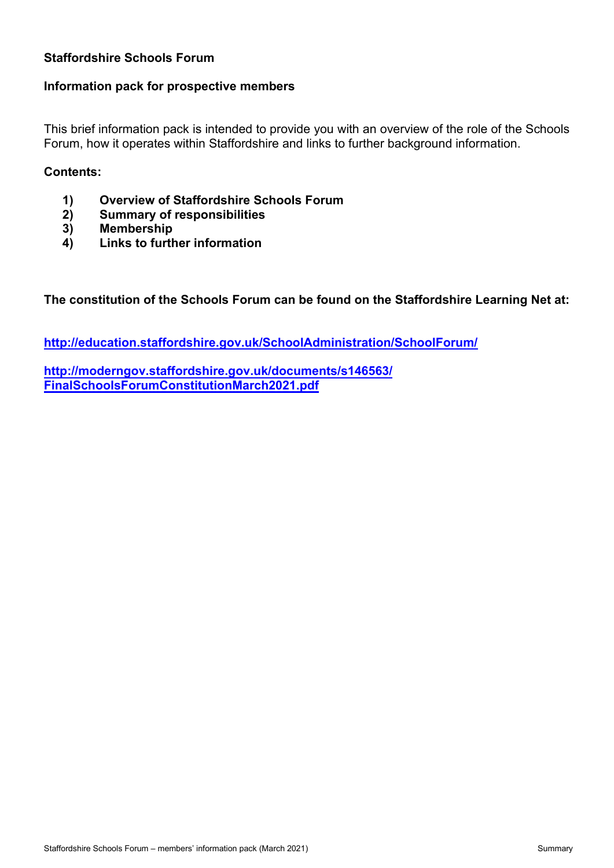## **Staffordshire Schools Forum**

### **Information pack for prospective members**

This brief information pack is intended to provide you with an overview of the role of the Schools Forum, how it operates within Staffordshire and links to further background information.

### **Contents:**

- **1) Overview of Staffordshire Schools Forum**
- **2) Summary of responsibilities**
- **3) Membership**
- **4) Links to further information**

**The constitution of the Schools Forum can be found on the Staffordshire Learning Net at:**

**<http://education.staffordshire.gov.uk/SchoolAdministration/SchoolForum/>**

**[h](http://moderngov.staffordshire.gov.uk/documents/s69315/Schools%20Forum%20Constitution.pdf)[ttp://moderngov.staffordshire.gov.uk/documents/s146563/](http://moderngov.staffordshire.gov.uk/documents/s146563/FinalSchoolsForumConstitutionMarch2021.pdf) [FinalScho](http://moderngov.staffordshire.gov.uk/documents/s146563/FinalSchoolsForumConstitutionMarch2021.pdf)olsForumConstitutionMarch2021.pdf**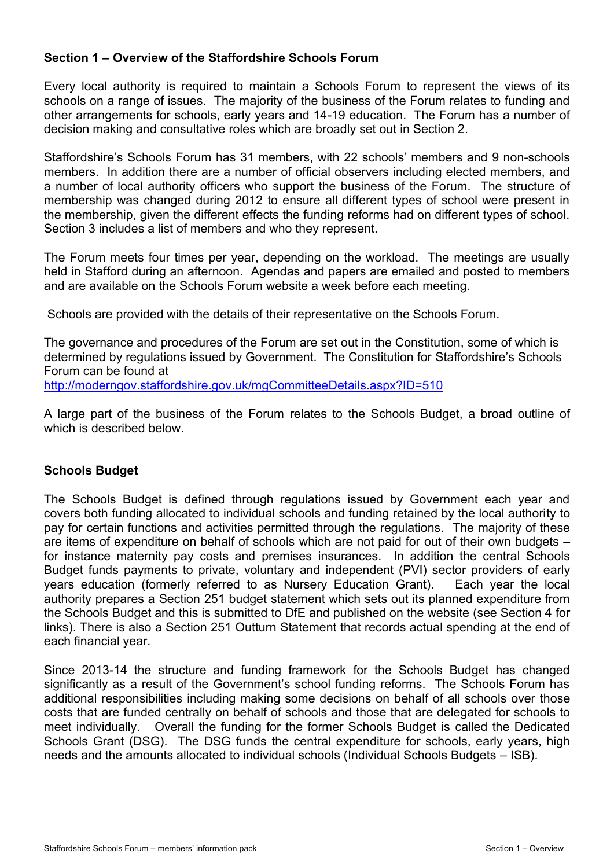### **Section 1 – Overview of the Staffordshire Schools Forum**

Every local authority is required to maintain a Schools Forum to represent the views of its schools on a range of issues. The majority of the business of the Forum relates to funding and other arrangements for schools, early years and 14-19 education. The Forum has a number of decision making and consultative roles which are broadly set out in Section 2.

Staffordshire's Schools Forum has 31 members, with 22 schools' members and 9 non-schools members. In addition there are a number of official observers including elected members, and a number of local authority officers who support the business of the Forum. The structure of membership was changed during 2012 to ensure all different types of school were present in the membership, given the different effects the funding reforms had on different types of school. Section 3 includes a list of members and who they represent.

The Forum meets four times per year, depending on the workload. The meetings are usually held in Stafford during an afternoon. Agendas and papers are emailed and posted to members and are available on the Schools Forum website a week before each meeting.

Schools are provided with the details of their representative on the Schools Forum.

The governance and procedures of the Forum are set out in the Constitution, some of which is determined by regulations issued by Government. The Constitution for Staffordshire's Schools Forum can be found at

<http://moderngov.staffordshire.gov.uk/mgCommitteeDetails.aspx?ID=510>

A large part of the business of the Forum relates to the Schools Budget, a broad outline of which is described below.

## **Schools Budget**

The Schools Budget is defined through regulations issued by Government each year and covers both funding allocated to individual schools and funding retained by the local authority to pay for certain functions and activities permitted through the regulations. The majority of these are items of expenditure on behalf of schools which are not paid for out of their own budgets – for instance maternity pay costs and premises insurances. In addition the central Schools Budget funds payments to private, voluntary and independent (PVI) sector providers of early years education (formerly referred to as Nursery Education Grant). Each year the local authority prepares a Section 251 budget statement which sets out its planned expenditure from the Schools Budget and this is submitted to DfE and published on the website (see Section 4 for links). There is also a Section 251 Outturn Statement that records actual spending at the end of each financial year.

Since 2013-14 the structure and funding framework for the Schools Budget has changed significantly as a result of the Government's school funding reforms. The Schools Forum has additional responsibilities including making some decisions on behalf of all schools over those costs that are funded centrally on behalf of schools and those that are delegated for schools to meet individually. Overall the funding for the former Schools Budget is called the Dedicated Schools Grant (DSG). The DSG funds the central expenditure for schools, early years, high needs and the amounts allocated to individual schools (Individual Schools Budgets – ISB).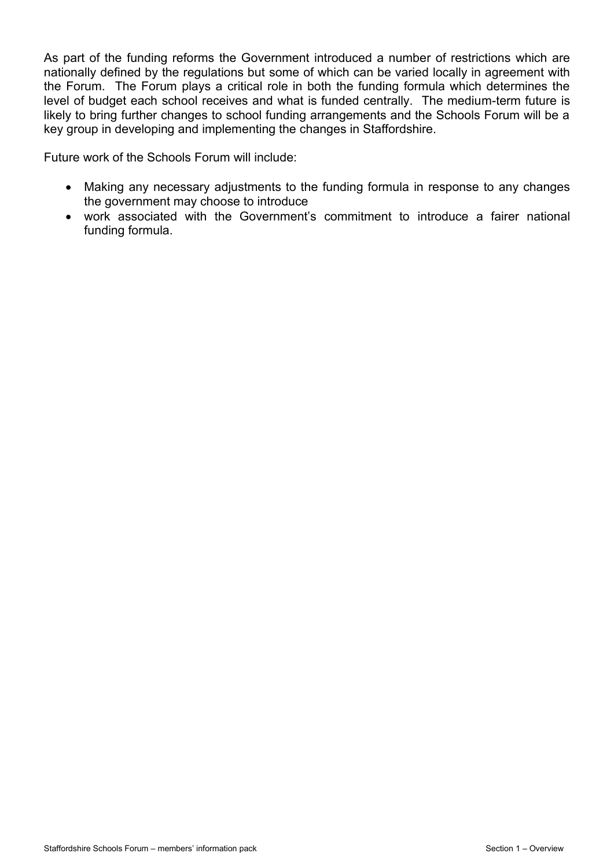As part of the funding reforms the Government introduced a number of restrictions which are nationally defined by the regulations but some of which can be varied locally in agreement with the Forum. The Forum plays a critical role in both the funding formula which determines the level of budget each school receives and what is funded centrally. The medium-term future is likely to bring further changes to school funding arrangements and the Schools Forum will be a key group in developing and implementing the changes in Staffordshire.

Future work of the Schools Forum will include:

- Making any necessary adjustments to the funding formula in response to any changes the government may choose to introduce
- work associated with the Government's commitment to introduce a fairer national funding formula.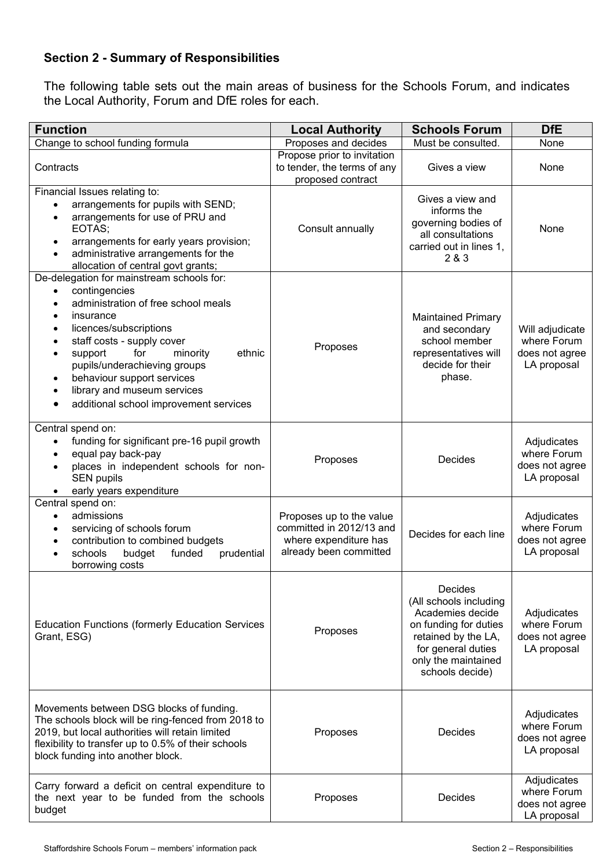# **Section 2 - Summary of Responsibilities**

The following table sets out the main areas of business for the Schools Forum, and indicates the Local Authority, Forum and DfE roles for each.

| <b>Function</b>                                                                                                                                                                                                                                                                                                                                                                                                                                       | <b>Local Authority</b>                                                                                  | <b>Schools Forum</b>                                                                                                                                                  | <b>DfE</b>                                                      |
|-------------------------------------------------------------------------------------------------------------------------------------------------------------------------------------------------------------------------------------------------------------------------------------------------------------------------------------------------------------------------------------------------------------------------------------------------------|---------------------------------------------------------------------------------------------------------|-----------------------------------------------------------------------------------------------------------------------------------------------------------------------|-----------------------------------------------------------------|
| Change to school funding formula                                                                                                                                                                                                                                                                                                                                                                                                                      | Proposes and decides                                                                                    | Must be consulted.                                                                                                                                                    | None                                                            |
| Contracts                                                                                                                                                                                                                                                                                                                                                                                                                                             | Propose prior to invitation<br>to tender, the terms of any<br>proposed contract                         | Gives a view                                                                                                                                                          | None                                                            |
| Financial Issues relating to:<br>arrangements for pupils with SEND;<br>$\bullet$<br>arrangements for use of PRU and<br>$\bullet$<br>EOTAS;<br>arrangements for early years provision;<br>$\bullet$<br>administrative arrangements for the<br>$\bullet$<br>allocation of central govt grants;                                                                                                                                                          | Consult annually                                                                                        | Gives a view and<br>informs the<br>governing bodies of<br>all consultations<br>carried out in lines 1,<br>2 & 3                                                       | None                                                            |
| De-delegation for mainstream schools for:<br>contingencies<br>$\bullet$<br>administration of free school meals<br>$\bullet$<br>insurance<br>$\bullet$<br>licences/subscriptions<br>٠<br>staff costs - supply cover<br>$\bullet$<br>for<br>ethnic<br>support<br>minority<br>$\bullet$<br>pupils/underachieving groups<br>behaviour support services<br>$\bullet$<br>library and museum services<br>$\bullet$<br>additional school improvement services | Proposes                                                                                                | <b>Maintained Primary</b><br>and secondary<br>school member<br>representatives will<br>decide for their<br>phase.                                                     | Will adjudicate<br>where Forum<br>does not agree<br>LA proposal |
| Central spend on:<br>funding for significant pre-16 pupil growth<br>equal pay back-pay<br>$\bullet$<br>places in independent schools for non-<br>SEN pupils<br>early years expenditure                                                                                                                                                                                                                                                                | Proposes                                                                                                | Decides                                                                                                                                                               | Adjudicates<br>where Forum<br>does not agree<br>LA proposal     |
| Central spend on:<br>admissions<br>$\bullet$<br>servicing of schools forum<br>$\bullet$<br>contribution to combined budgets<br>schools<br>budget<br>funded<br>prudential<br>borrowing costs                                                                                                                                                                                                                                                           | Proposes up to the value<br>committed in 2012/13 and<br>where expenditure has<br>already been committed | Decides for each line                                                                                                                                                 | Adjudicates<br>where Forum<br>does not agree<br>LA proposal     |
| <b>Education Functions (formerly Education Services</b><br>Grant, ESG)                                                                                                                                                                                                                                                                                                                                                                                | Proposes                                                                                                | Decides<br>(All schools including<br>Academies decide<br>on funding for duties<br>retained by the LA,<br>for general duties<br>only the maintained<br>schools decide) | Adjudicates<br>where Forum<br>does not agree<br>LA proposal     |
| Movements between DSG blocks of funding.<br>The schools block will be ring-fenced from 2018 to<br>2019, but local authorities will retain limited<br>flexibility to transfer up to 0.5% of their schools<br>block funding into another block.                                                                                                                                                                                                         | Proposes                                                                                                | Decides                                                                                                                                                               | Adjudicates<br>where Forum<br>does not agree<br>LA proposal     |
| Carry forward a deficit on central expenditure to<br>the next year to be funded from the schools<br>budget                                                                                                                                                                                                                                                                                                                                            | Proposes                                                                                                | Decides                                                                                                                                                               | Adjudicates<br>where Forum<br>does not agree<br>LA proposal     |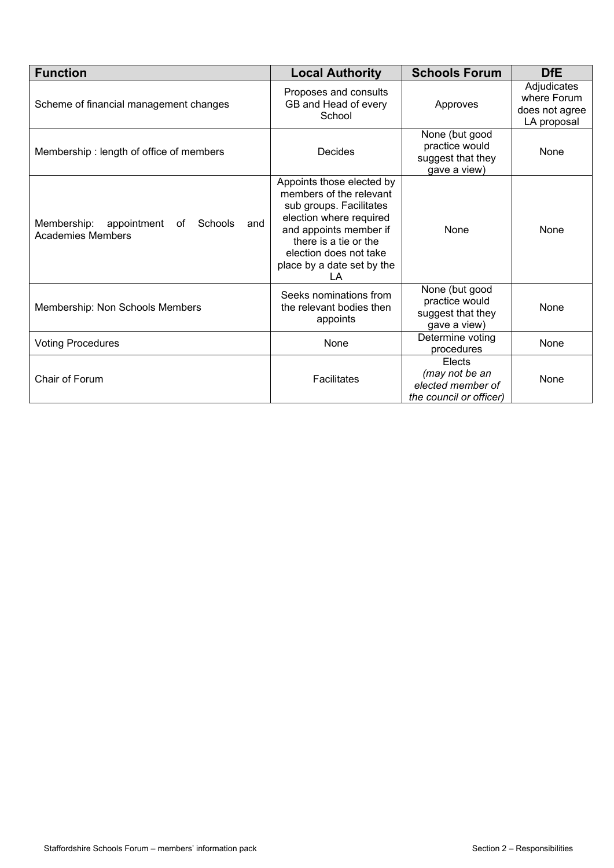| <b>Function</b>                                                                | <b>Local Authority</b>                                                                                                                                                                                                      | <b>Schools Forum</b>                                                     | <b>DfE</b>                                                  |
|--------------------------------------------------------------------------------|-----------------------------------------------------------------------------------------------------------------------------------------------------------------------------------------------------------------------------|--------------------------------------------------------------------------|-------------------------------------------------------------|
| Scheme of financial management changes                                         | Proposes and consults<br>GB and Head of every<br>School                                                                                                                                                                     | Approves                                                                 | Adjudicates<br>where Forum<br>does not agree<br>LA proposal |
| Membership: length of office of members                                        | Decides                                                                                                                                                                                                                     | None (but good<br>practice would<br>suggest that they<br>gave a view)    | None                                                        |
| Membership:<br>appointment<br>Schools<br>and<br>of<br><b>Academies Members</b> | Appoints those elected by<br>members of the relevant<br>sub groups. Facilitates<br>election where required<br>and appoints member if<br>there is a tie or the<br>election does not take<br>place by a date set by the<br>ΙA | None                                                                     | None                                                        |
| Membership: Non Schools Members                                                | Seeks nominations from<br>the relevant bodies then<br>appoints                                                                                                                                                              | None (but good<br>practice would<br>suggest that they<br>gave a view)    | None                                                        |
| <b>Voting Procedures</b>                                                       | None                                                                                                                                                                                                                        | Determine voting<br>procedures                                           | None                                                        |
| Chair of Forum                                                                 | Facilitates                                                                                                                                                                                                                 | Elects<br>(may not be an<br>elected member of<br>the council or officer) | None                                                        |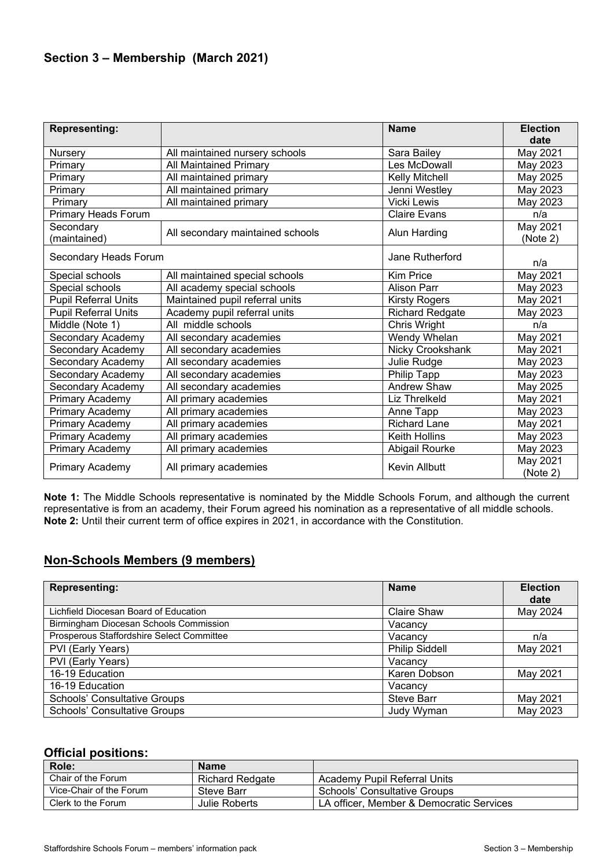## **Section 3 – Membership (March 2021)**

| <b>Representing:</b>        |                                  | <b>Name</b>            | <b>Election</b><br>date |
|-----------------------------|----------------------------------|------------------------|-------------------------|
| Nursery                     | All maintained nursery schools   | Sara Bailey            | May 2021                |
| Primary                     | <b>All Maintained Primary</b>    | Les McDowall           | May 2023                |
| Primary                     | All maintained primary           | Kelly Mitchell         | May 2025                |
| Primary                     | All maintained primary           | Jenni Westley          | May 2023                |
| Primary                     | All maintained primary           | <b>Vicki Lewis</b>     | May 2023                |
| <b>Primary Heads Forum</b>  |                                  | <b>Claire Evans</b>    | n/a                     |
| Secondary<br>(maintained)   | All secondary maintained schools | <b>Alun Harding</b>    | May 2021<br>(Note 2)    |
| Secondary Heads Forum       |                                  | Jane Rutherford        | n/a                     |
| Special schools             | All maintained special schools   | <b>Kim Price</b>       | May 2021                |
| Special schools             | All academy special schools      | <b>Alison Parr</b>     | May 2023                |
| <b>Pupil Referral Units</b> | Maintained pupil referral units  | <b>Kirsty Rogers</b>   | May 2021                |
| <b>Pupil Referral Units</b> | Academy pupil referral units     | <b>Richard Redgate</b> | May 2023                |
| Middle (Note 1)             | All middle schools               | Chris Wright           | n/a                     |
| Secondary Academy           | All secondary academies          | Wendy Whelan           | May 2021                |
| Secondary Academy           | All secondary academies          | Nicky Crookshank       | May 2021                |
| Secondary Academy           | All secondary academies          | Julie Rudge            | May 2023                |
| Secondary Academy           | All secondary academies          | Philip Tapp            | May 2023                |
| Secondary Academy           | All secondary academies          | <b>Andrew Shaw</b>     | May 2025                |
| Primary Academy             | All primary academies            | Liz Threlkeld          | May 2021                |
| Primary Academy             | All primary academies            | Anne Tapp              | May 2023                |
| Primary Academy             | All primary academies            | <b>Richard Lane</b>    | May 2021                |
| Primary Academy             | All primary academies            | <b>Keith Hollins</b>   | May 2023                |
| Primary Academy             | All primary academies            | Abigail Rourke         | May 2023                |
| Primary Academy             | All primary academies            | Kevin Allbutt          | May 2021<br>(Note 2)    |

**Note 1:** The Middle Schools representative is nominated by the Middle Schools Forum, and although the current representative is from an academy, their Forum agreed his nomination as a representative of all middle schools. **Note 2:** Until their current term of office expires in 2021, in accordance with the Constitution.

## **Non-Schools Members (9 members)**

| <b>Representing:</b>                      | <b>Name</b>           | <b>Election</b><br>date |
|-------------------------------------------|-----------------------|-------------------------|
| Lichfield Diocesan Board of Education     | <b>Claire Shaw</b>    | May 2024                |
| Birmingham Diocesan Schools Commission    | Vacancv               |                         |
| Prosperous Staffordshire Select Committee | Vacancy               | n/a                     |
| PVI (Early Years)                         | <b>Philip Siddell</b> | May 2021                |
| PVI (Early Years)                         | Vacancv               |                         |
| 16-19 Education                           | Karen Dobson          | May 2021                |
| 16-19 Education                           | Vacancv               |                         |
| <b>Schools' Consultative Groups</b>       | <b>Steve Barr</b>     | May 2021                |
| <b>Schools' Consultative Groups</b>       | <b>Judy Wyman</b>     | May 2023                |

### **Official positions:**

| Role:                   | <b>Name</b>            |                                          |
|-------------------------|------------------------|------------------------------------------|
| Chair of the Forum      | <b>Richard Redgate</b> | Academy Pupil Referral Units             |
| Vice-Chair of the Forum | Steve Barr             | Schools' Consultative Groups             |
| Clerk to the Forum      | Julie Roberts          | LA officer, Member & Democratic Services |